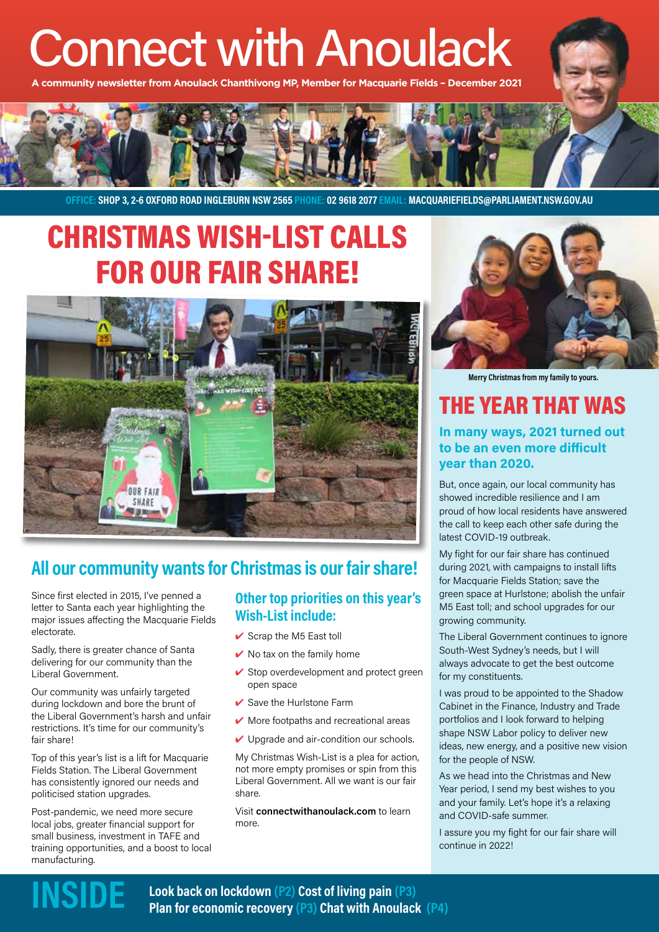# Connect with Anoulack

**A community newsletter from Anoulack Chanthivong MP, Member for Macquarie Fields – December 2021**



OFFICE: SHOP 3, 2-6 OXFORD ROAD INGLEBURN NSW 2565 PHONE: 02 9618 2077 EMAIL: MACQUARIEFIELDS@PARLIAMENT.NSW.GOV.AU

### CHRISTMAS WISH-LIST CALLS FOR OUR FAIR SHARE!



### All our community wants for Christmas is our fair share!

Since first elected in 2015, I've penned a letter to Santa each year highlighting the major issues affecting the Macquarie Fields electorate.

Sadly, there is greater chance of Santa delivering for our community than the Liberal Government.

Our community was unfairly targeted during lockdown and bore the brunt of the Liberal Government's harsh and unfair restrictions. It's time for our community's fair share!

Top of this year's list is a lift for Macquarie Fields Station. The Liberal Government has consistently ignored our needs and politicised station upgrades.

Post-pandemic, we need more secure local jobs, greater financial support for small business, investment in TAFE and training opportunities, and a boost to local manufacturing.

### Other top priorities on this year's Wish-List include:

- $\checkmark$  Scrap the M5 East toll
- $\vee$  No tax on the family home
- $\checkmark$  Stop overdevelopment and protect green open space
- $\vee$  Save the Hurlstone Farm
- $\vee$  More footpaths and recreational areas
- $\vee$  Upgrade and air-condition our schools.

My Christmas Wish-List is a plea for action, not more empty promises or spin from this Liberal Government. All we want is our fair share.

Visit connectwithanoulack.com to learn more.



Merry Christmas from my family to yours.

### THE YEAR THAT WAS

#### In many ways, 2021 turned out to be an even more difficult year than 2020.

But, once again, our local community has showed incredible resilience and I am proud of how local residents have answered the call to keep each other safe during the latest COVID-19 outbreak.

My fight for our fair share has continued during 2021, with campaigns to install lifts for Macquarie Fields Station; save the green space at Hurlstone; abolish the unfair M5 East toll; and school upgrades for our growing community.

The Liberal Government continues to ignore South-West Sydney's needs, but I will always advocate to get the best outcome for my constituents.

I was proud to be appointed to the Shadow Cabinet in the Finance, Industry and Trade portfolios and I look forward to helping shape NSW Labor policy to deliver new ideas, new energy, and a positive new vision for the people of NSW.

As we head into the Christmas and New Year period, I send my best wishes to you and your family. Let's hope it's a relaxing and COVID-safe summer.

I assure you my fight for our fair share will continue in 2022!

Look back on lockdown (P2) Cost of living pain (P3) **INSIDE** Look back on lockdown (P2) Cost of living pain (P3)<br>Plan for economic recovery (P3) Chat with Anoulack (P4)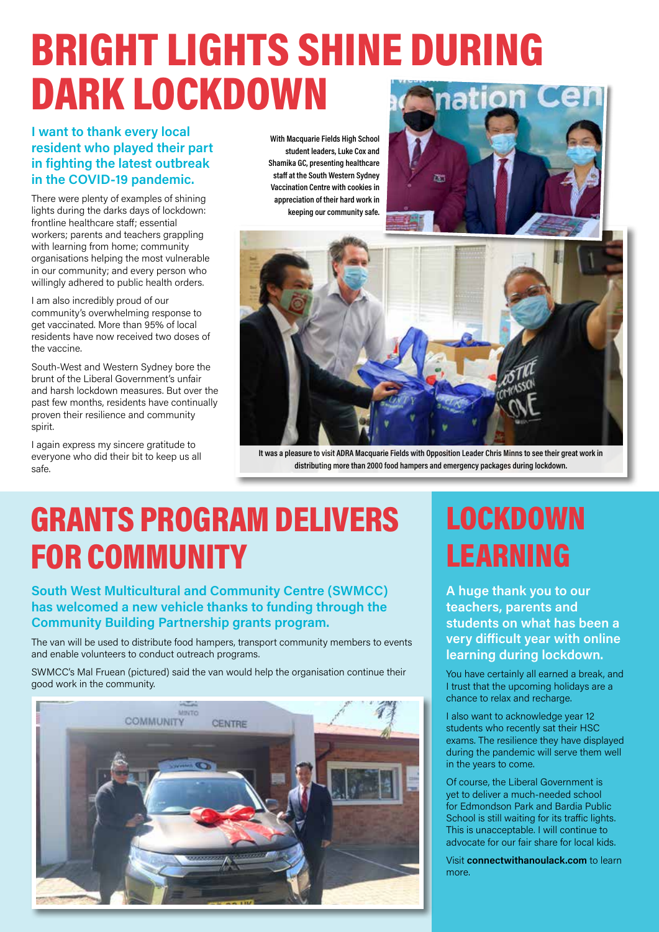### BRIGHT LIGHTS SHINE DURING DARK LOCKDOWN natiol

### I want to thank every local resident who played their part in fighting the latest outbreak in the COVID-19 pandemic.

There were plenty of examples of shining lights during the darks days of lockdown: frontline healthcare staff; essential workers; parents and teachers grappling with learning from home; community organisations helping the most vulnerable in our community; and every person who willingly adhered to public health orders.

I am also incredibly proud of our community's overwhelming response to get vaccinated. More than 95% of local residents have now received two doses of the vaccine.

South-West and Western Sydney bore the brunt of the Liberal Government's unfair and harsh lockdown measures. But over the past few months, residents have continually proven their resilience and community spirit.

I again express my sincere gratitude to everyone who did their bit to keep us all safe.

With Macquarie Fields High School student leaders, Luke Cox and Shamika GC, presenting healthcare staff at the South Western Sydney Vaccination Centre with cookies in appreciation of their hard work in keeping our community safe.





It was a pleasure to visit ADRA Macquarie Fields with Opposition Leader Chris Minns to see their great work in distributing more than 2000 food hampers and emergency packages during lockdown.

# GRANTS PROGRAM DELIVERS FOR COMMUNITY

### South West Multicultural and Community Centre (SWMCC) has welcomed a new vehicle thanks to funding through the Community Building Partnership grants program.

The van will be used to distribute food hampers, transport community members to events and enable volunteers to conduct outreach programs.

SWMCC's Mal Fruean (pictured) said the van would help the organisation continue their good work in the community.



## LOCKDOWN LEARNING

A huge thank you to our teachers, parents and students on what has been a very difficult year with online learning during lockdown.

You have certainly all earned a break, and I trust that the upcoming holidays are a chance to relax and recharge.

I also want to acknowledge year 12 students who recently sat their HSC exams. The resilience they have displayed during the pandemic will serve them well in the years to come.

Of course, the Liberal Government is yet to deliver a much-needed school for Edmondson Park and Bardia Public School is still waiting for its traffic lights. This is unacceptable. I will continue to advocate for our fair share for local kids.

Visit connectwithanoulack.com to learn more.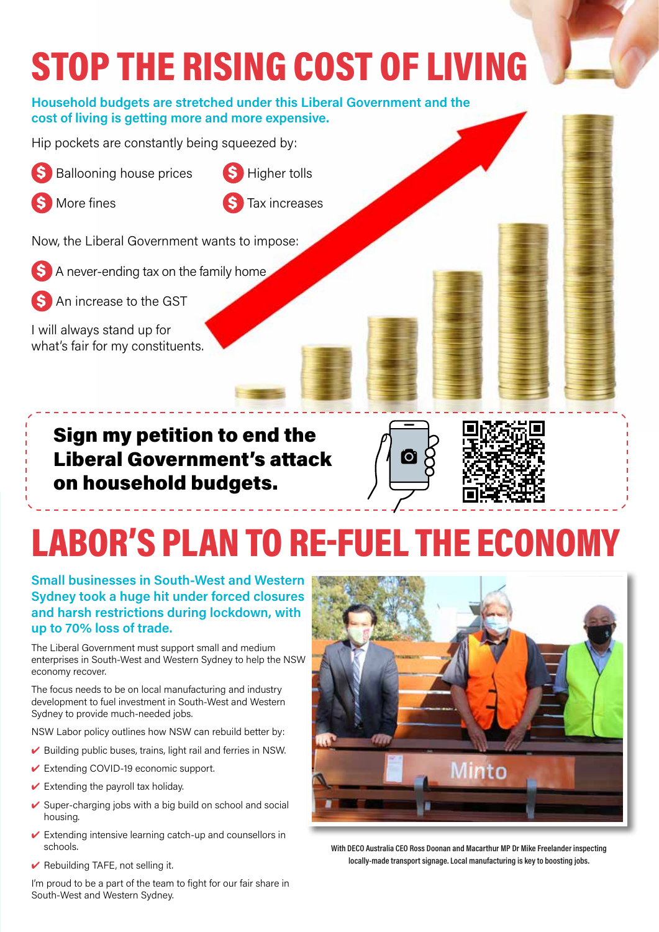### STOP THE RISING COST OF LIVING Household budgets are stretched under this Liberal Government and the cost of living is getting more and more expensive.Hip pockets are constantly being squeezed by: **Ballooning house prices \$** Higher tolls More fines **\$** Tax increases Now, the Liberal Government wants to impose: A never-ending tax on the family home An increase to the GST I will always stand up for what's fair for my constituents. Sign my petition to end the **io**

Liberal Government's attack on household budgets.



Small businesses in South-West and Western Sydney took a huge hit under forced closures and harsh restrictions during lockdown, with up to 70% loss of trade.

The Liberal Government must support small and medium enterprises in South-West and Western Sydney to help the NSW economy recover.

The focus needs to be on local manufacturing and industry development to fuel investment in South-West and Western Sydney to provide much-needed jobs.

NSW Labor policy outlines how NSW can rebuild better by:

- $\triangleright$  Building public buses, trains, light rail and ferries in NSW.
- ✔ Extending COVID-19 economic support.
- $\vee$  Extending the payroll tax holiday.
- Super-charging jobs with a big build on school and social housing.
- $\vee$  Extending intensive learning catch-up and counsellors in schools.



With DECO Australia CEO Ross Doonan and Macarthur MP Dr Mike Freelander inspecting locally-made transport signage. Local manufacturing is key to boosting jobs.

 $\vee$  Rebuilding TAFE, not selling it.

I'm proud to be a part of the team to fight for our fair share in South-West and Western Sydney.